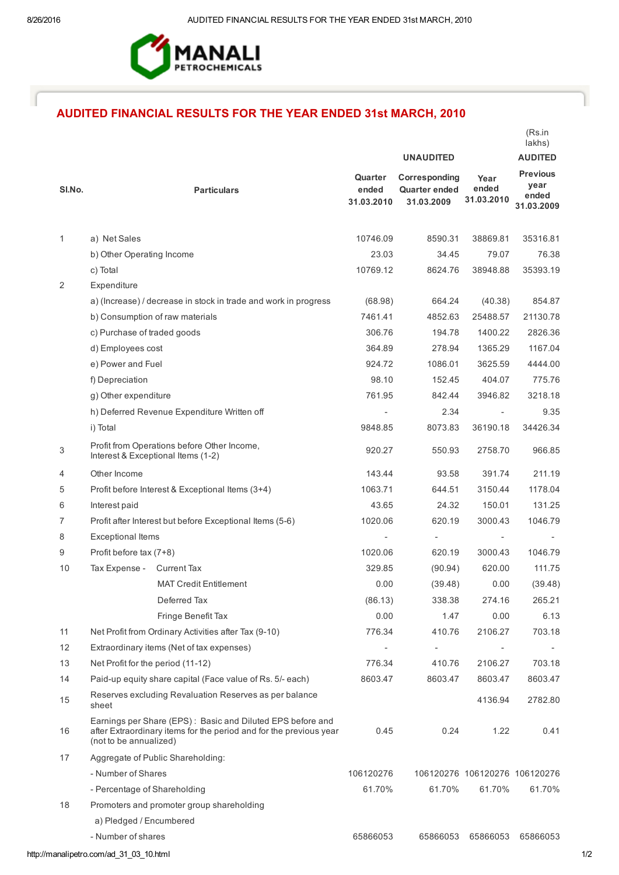

## AUDITED FINANCIAL RESULTS FOR THE YEAR ENDED 31st MARCH, 2010

|                |                                                                                                                                                            |                                |                                                     |                               | lakhs)                                         |
|----------------|------------------------------------------------------------------------------------------------------------------------------------------------------------|--------------------------------|-----------------------------------------------------|-------------------------------|------------------------------------------------|
|                |                                                                                                                                                            |                                | <b>UNAUDITED</b>                                    |                               | <b>AUDITED</b>                                 |
| SI.No.         | <b>Particulars</b>                                                                                                                                         | Quarter<br>ended<br>31.03.2010 | Corresponding<br><b>Quarter ended</b><br>31.03.2009 | Year<br>ended<br>31.03.2010   | <b>Previous</b><br>year<br>ended<br>31.03.2009 |
| 1              | a) Net Sales                                                                                                                                               | 10746.09                       | 8590.31                                             | 38869.81                      | 35316.81                                       |
|                | b) Other Operating Income                                                                                                                                  | 23.03                          | 34.45                                               | 79.07                         | 76.38                                          |
|                | c) Total                                                                                                                                                   | 10769.12                       | 8624.76                                             | 38948.88                      | 35393.19                                       |
| 2              | Expenditure                                                                                                                                                |                                |                                                     |                               |                                                |
|                | a) (Increase) / decrease in stock in trade and work in progress                                                                                            | (68.98)                        | 664.24                                              | (40.38)                       | 854.87                                         |
|                | b) Consumption of raw materials                                                                                                                            | 7461.41                        | 4852.63                                             | 25488.57                      | 21130.78                                       |
|                | c) Purchase of traded goods                                                                                                                                | 306.76                         | 194.78                                              | 1400.22                       | 2826.36                                        |
|                | d) Employees cost                                                                                                                                          | 364.89                         | 278.94                                              | 1365.29                       | 1167.04                                        |
|                | e) Power and Fuel                                                                                                                                          | 924.72                         | 1086.01                                             | 3625.59                       | 4444.00                                        |
|                | f) Depreciation                                                                                                                                            | 98.10                          | 152.45                                              | 404.07                        | 775.76                                         |
|                | g) Other expenditure                                                                                                                                       | 761.95                         | 842.44                                              | 3946.82                       | 3218.18                                        |
|                | h) Deferred Revenue Expenditure Written off                                                                                                                |                                | 2.34                                                |                               | 9.35                                           |
|                | i) Total                                                                                                                                                   | 9848.85                        | 8073.83                                             | 36190.18                      | 34426.34                                       |
| 3              | Profit from Operations before Other Income,<br>Interest & Exceptional Items (1-2)                                                                          | 920.27                         | 550.93                                              | 2758.70                       | 966.85                                         |
| 4              | Other Income                                                                                                                                               | 143.44                         | 93.58                                               | 391.74                        | 211.19                                         |
| 5              | Profit before Interest & Exceptional Items (3+4)                                                                                                           | 1063.71                        | 644.51                                              | 3150.44                       | 1178.04                                        |
| 6              | Interest paid                                                                                                                                              | 43.65                          | 24.32                                               | 150.01                        | 131.25                                         |
| $\overline{7}$ | Profit after Interest but before Exceptional Items (5-6)                                                                                                   | 1020.06                        | 620.19                                              | 3000.43                       | 1046.79                                        |
| 8              | <b>Exceptional Items</b>                                                                                                                                   |                                | $\overline{\phantom{a}}$                            | $\overline{\phantom{a}}$      | $\overline{\phantom{a}}$                       |
| 9              | Profit before tax (7+8)                                                                                                                                    | 1020.06                        | 620.19                                              | 3000.43                       | 1046.79                                        |
| 10             | Tax Expense -<br><b>Current Tax</b>                                                                                                                        | 329.85                         | (90.94)                                             | 620.00                        | 111.75                                         |
|                | <b>MAT Credit Entitlement</b>                                                                                                                              | 0.00                           | (39.48)                                             | 0.00                          | (39.48)                                        |
|                | Deferred Tax                                                                                                                                               | (86.13)                        | 338.38                                              | 274.16                        | 265.21                                         |
|                | Fringe Benefit Tax                                                                                                                                         | 0.00                           | 1.47                                                | 0.00                          | 6.13                                           |
| 11             | Net Profit from Ordinary Activities after Tax (9-10)                                                                                                       | 776.34                         | 410.76                                              | 2106.27                       | 703.18                                         |
| 12             | Extraordinary items (Net of tax expenses)                                                                                                                  |                                | $\overline{\phantom{a}}$                            |                               |                                                |
| 13             | Net Profit for the period (11-12)                                                                                                                          | 776.34                         | 410.76                                              | 2106.27                       | 703.18                                         |
| 14             | Paid-up equity share capital (Face value of Rs. 5/- each)                                                                                                  | 8603.47                        | 8603.47                                             | 8603.47                       | 8603.47                                        |
| 15             | Reserves excluding Revaluation Reserves as per balance<br>sheet                                                                                            |                                |                                                     | 4136.94                       | 2782.80                                        |
| 16             | Earnings per Share (EPS): Basic and Diluted EPS before and<br>after Extraordinary items for the period and for the previous year<br>(not to be annualized) | 0.45                           | 0.24                                                | 1.22                          | 0.41                                           |
| 17             | Aggregate of Public Shareholding:                                                                                                                          |                                |                                                     |                               |                                                |
|                | - Number of Shares                                                                                                                                         | 106120276                      |                                                     | 106120276 106120276 106120276 |                                                |
|                | - Percentage of Shareholding                                                                                                                               | 61.70%                         | 61.70%                                              | 61.70%                        | 61.70%                                         |
| 18             | Promoters and promoter group shareholding                                                                                                                  |                                |                                                     |                               |                                                |
|                | a) Pledged / Encumbered                                                                                                                                    |                                |                                                     |                               |                                                |
|                | - Number of shares                                                                                                                                         | 65866053                       | 65866053                                            | 65866053                      | 65866053                                       |

(Rs.in